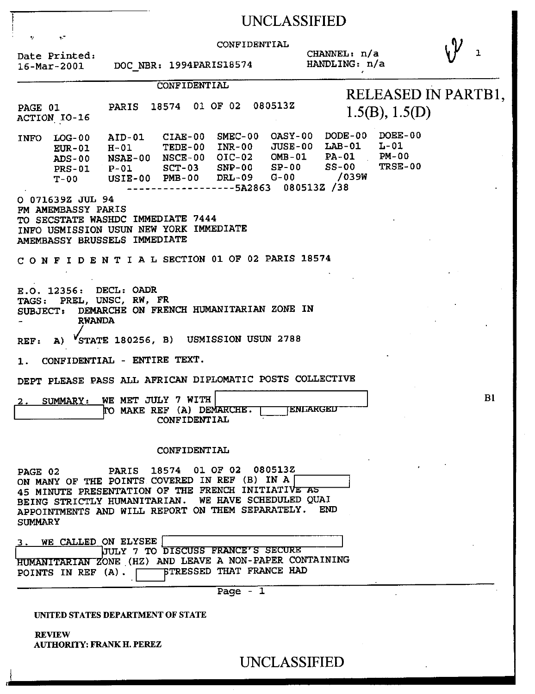|                           |                                                                                                                                                                                                                    |                                                 |                         |           | UNCLASSIFIED                           |                 |                                                                                                                       |                                           |  |    |
|---------------------------|--------------------------------------------------------------------------------------------------------------------------------------------------------------------------------------------------------------------|-------------------------------------------------|-------------------------|-----------|----------------------------------------|-----------------|-----------------------------------------------------------------------------------------------------------------------|-------------------------------------------|--|----|
|                           | y.<br>Date Printed:<br>$16 - \text{Mar} - 2001$                                                                                                                                                                    |                                                 | DOC_NBR: 1994PARIS18574 |           | CONFIDENTIAL                           |                 | CHANNEL: $n/a$<br>HANDLING: n/a                                                                                       |                                           |  | 1  |
| PAGE 01                   | ACTION IO-16                                                                                                                                                                                                       | PARIS 18574 01 OF 02 080513Z                    | <b>CONFIDENTIAL</b>     |           |                                        |                 |                                                                                                                       | RELEASED IN PARTB1,<br>1.5(B), 1.5(D)     |  |    |
|                           | INFO LOG-00<br>$E$ UR-01<br>ADS-00 NSAE-00 NSCE-00 OIC-02 OMB-01<br>PRS-01 P-01<br>$T-00$                                                                                                                          | $H-01$<br>$USIE-00$ PMB-00 DRL-09 G-00          |                         |           | -------5A2863 080513Z /38              |                 | AID-01 CIAE-00 SMEC-00 OASY-00 DODE-00<br>TEDE-00 INR-00 JUSE-00 LAB-01<br>$SCT-03$ $SNP-00$ $SP-00$ $SS-00$<br>/039W | DOEE-00<br>L-01<br>PA-01 PM-00<br>TRSE-00 |  |    |
|                           | O 071639Z JUL 94<br>FM AMEMBASSY PARIS<br>TO SECSTATE WASHDC IMMEDIATE 7444<br>INFO USMISSION USUN NEW YORK IMMEDIATE<br><b>AMEMBASSY BRUSSELS IMMEDIATE</b>                                                       |                                                 |                         |           |                                        |                 |                                                                                                                       |                                           |  |    |
|                           | CONFIDENTIAL SECTION 01 OF 02 PARIS 18574                                                                                                                                                                          |                                                 |                         |           |                                        |                 |                                                                                                                       |                                           |  |    |
| <b>SUBJECT:</b>           | E.O. 12356: DECL: OADR<br>TAGS: PREL, UNSC, RW, FR<br><b>RWANDA</b>                                                                                                                                                | DEMARCHE ON FRENCH HUMANITARIAN ZONE IN         |                         |           |                                        |                 |                                                                                                                       |                                           |  |    |
| REF:                      | A) VSTATE 180256, B) USMISSION USUN 2788                                                                                                                                                                           |                                                 |                         |           |                                        |                 |                                                                                                                       |                                           |  |    |
| 1.                        | CONFIDENTIAL - ENTIRE TEXT.                                                                                                                                                                                        |                                                 |                         |           |                                        |                 |                                                                                                                       |                                           |  |    |
|                           | DEPT PLEASE PASS ALL AFRICAN DIPLOMATIC POSTS COLLECTIVE                                                                                                                                                           |                                                 |                         |           |                                        |                 |                                                                                                                       |                                           |  |    |
|                           | 2. SUMMARY:                                                                                                                                                                                                        | WE MET JULY 7 WITH<br>TO MAKE REF (A) DEMARCHE. | CONFIDENTIAL            |           |                                        | <b>ENLARGED</b> |                                                                                                                       |                                           |  | B1 |
|                           |                                                                                                                                                                                                                    |                                                 | CONFIDENTIAL            |           |                                        |                 |                                                                                                                       |                                           |  |    |
| PAGE 02<br><b>SUMMARY</b> | ON MANY OF THE POINTS COVERED IN REF (B) IN A<br>45 MINUTE PRESENTATION OF THE FRENCH INITIATIVE AS<br>BEING STRICTLY HUMANITARIAN. WE HAVE SCHEDULED QUAI<br>APPOINTMENTS AND WILL REPORT ON THEM SEPARATELY. END | PARIS 18574 01 OF 02 080513Z                    |                         |           |                                        |                 |                                                                                                                       |                                           |  |    |
| 3.                        | WE CALLED ON ELYSEE<br>HUMANITARIAN ZONE (HZ) AND LEAVE A NON-PAPER CONTAINING<br>POINTS IN REF (A).                                                                                                               | UULY 7 TO DISCUSS FRANCE'S SECURE               |                         |           | <b><i>STRESSED THAT FRANCE HAD</i></b> |                 |                                                                                                                       |                                           |  |    |
|                           |                                                                                                                                                                                                                    |                                                 |                         | Page $-1$ |                                        |                 |                                                                                                                       |                                           |  |    |
|                           | UNITED STATES DEPARTMENT OF STATE                                                                                                                                                                                  |                                                 |                         |           |                                        |                 |                                                                                                                       |                                           |  |    |

REVIEW AUTHORITY: FRANK IL PEREZ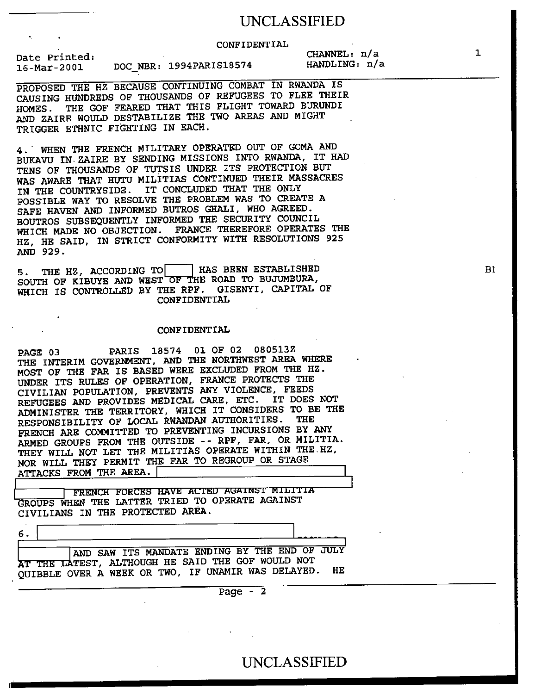## UNCLASSIFIED

CONFIDENTIAL

Date Printed: 16-Mar-2001 DOC\_NBR: 1994PARIS18574 HANDLING: n/a

CHANNEL: n/a

PROPOSED THE HZ BECAUSE CONTINUING COMBAT IN RWANDA IS CAUSING HUNDREDS OF THOUSANDS OF REFUGEES TO FLEE THEIR HOMES. THE GOF FEARED THAT THIS FLIGHT TOWARD BURUNDI AND ZAIRE WOULD DESTABILIZE THE TWO AREAS AND MIGHT TRIGGER ETHNIC FIGHTING IN EACH.

4.. WHEN THE FRENCH MILITARY OPERATED OUT OF GOMA AND BUKAVU IN. ZAIRE BY SENDING MISSIONS INTO RWANDA, IT HAD TENS OF THOUSANDS OF TUTSIS UNDER ITS PROTECTION BUT WAS AWARE THAT HUTU MILITIAS CONTINUED THEIR MASSACRES IN THE COUNTRYSIDE. IT CONCLUDED THAT THE ONLY POSSIBLE WAY TO RESOLVE THE PROBLEM WAS TO CREATE A SAFE HAVEN AND INFORMED BUTROS GHALI, WHO AGREED. BOUTROS SUBSEQUENTLY INFORMED THE SECURITY COUNCIL WHICH MADE NO OBJECTION. FRANCE THEREFORE OPERATES THE HZ, HE SAID, IN STRICT CONFORMITY WITH RESOLUTIONS 925 AND 929.

5. THE HZ, ACCORDING TO HAS BEEN ESTABLISHED SOUTH OF KIBUYE AND WEST OF THE ROAD TO BUJUMBURA, WHICH IS CONTROLLED BY THE RPF. GISENYI, CAPITAL OF CONFIDENTIAL

#### CONFIDENTIAL

PAGE 03 PARIS 18574 01 OF 02 080513Z THE INTERIM GOVERNMENT, AND THE NORTHWEST AREA WHERE MOST OF THE FAR IS BASED WERE EXCLUDED FROM THE HZ. UNDER ITS RULES OF OPERATION, FRANCE PROTECTS THE CIVILIAN POPULATION, PREVENTS ANY VIOLENCE, FEEDS REFUGEES AND PROVIDES MEDICAL CARE, ETC. IT DOES NOT ADMINISTER THE TERRITORY, WHICH IT CONSIDERS TO BE THE RESPONSIBILITY OF LOCAL RWANDAN AUTHORITIES. THE FRENCH ARE COMMITTED TO PREVENTING INCURSIONS BY ANY ARMED GROUPS FROM THE OUTSIDE -- RPF, FAR, OR MILITIA. THEY WILL NOT LET THE MILITIAS OPERATE WITHIN THE.HZ, NOR WILL THEY PERMIT THE FAR TO REGROUP OR STAGE ATTACKS FROM THE AREA. <sup>I</sup>

FRENCH FORCES HAVE ACTED AGAINST MILITIA GROUPS WHEN THE LATTER TRIED TO OPERATE AGAINST CIVILIANS IN THE PROTECTED AREA.

6.

AND SAW ITS MANDATE ENDING BY THE END OF JULY AT THE LATEST, ALTHOUGH HE SAID THE GOF WOULD NOT QUIBBLE OVER A WEEK OR TWO, IF UNAMIR WAS DELAYED. HE

Page  $-2$ 

B1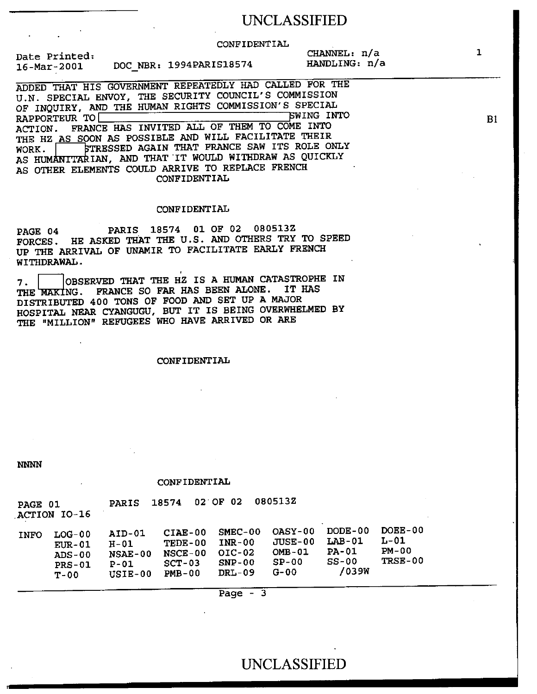## UNCLASSIFIED

#### CONFIDENTIAL

Date Printed: 16-Mar-2001 DOC\_NBR: 1994PARIS18574 CHANNEL: n/a HANDLING: n/a

ADDED THAT HIS GOVERNMENT REPEATEDLY HAD CALLED FOR THE U.N. SPECIAL ENVOY, THE SECURITY COUNCIL'S COMMISSION OF INQUIRY, AND THE HUMAN RIGHTS COMMISSION'S SPECIAL<br>PARPOPTEUR TO RAPPORTEUR TO ACTION. FRANCE HAS INVITED ALL OF THEM TO COME INTO THE HZ AS SOON AS POSSIBLE AND WILL FACILITATE THEIR WORK. STRESSED AGAIN THAT FRANCE SAW ITS ROLE ONLY AS HUMANITARIAN, AND THAT IT WOULD WITHDRAW AS QUICKLY AS OTHER ELEMENTS COULD ARRIVE TO REPLACE FRENCH CONFIDENTIAL

#### CONFIDENTIAL

PAGE 04 PARIS 18574 01 OF 02 080513Z FORCES. HE ASKED THAT THE U.S. AND OTHERS TRY TO SPEED UP THE ARRIVAL OF UNAMIR TO FACILITATE EARLY FRENCH WITHDRAWAL.

7. | | | OBSERVED THAT THE HZ IS A HUMAN CATASTROPHE IN<br>THE MAKING. FRANCE SO FAR HAS BEEN ALONE. IT HAS FRANCE SO FAR HAS BEEN ALONE. DISTRIBUTED 400 TONS OF FOOD AND SET UP A MAJOR HOSPITAL NEAR CYANGUGU, BUT IT IS BEING OVERWHELMED BY THE "MILLION" REFUGEES WHO HAVE ARRIVED OR ARE

#### CONFIDENTIAL

*NNNN* 

#### CONFIDENTIAL

| <b>PAGE 01</b> | ACTION IO-16                                           | <b>PARIS</b>                                             | 18574                                                          | 02 OF 02                                                  | 0805132                                                   |                                                       |                                         |
|----------------|--------------------------------------------------------|----------------------------------------------------------|----------------------------------------------------------------|-----------------------------------------------------------|-----------------------------------------------------------|-------------------------------------------------------|-----------------------------------------|
| <b>INFO</b>    | $LOG-0.0$<br>$E$ UR-01<br>$ADS-00$<br>$PRS-01$<br>T-00 | AID-01<br>$H - 01$<br>$NSAE-00$<br>$P - 01$<br>$USIE-00$ | $CIAE-00$<br>TEDE-00<br><b>NSCE-00</b><br>$SCT-03$<br>$PMB-00$ | $SMEC-00$<br>$INR-00$<br>$OIC-02$<br>$SNP-00$<br>$DRL-09$ | $OASY-00$<br>$JUSE-00$<br>$OMB-01$<br>$SP-00$<br>$G - 00$ | $DODE-0.0$<br>$LAB-01$<br>$PA-01$<br>$SS-00$<br>/039W | $DOEE-00$<br>L-01<br>$PM-00$<br>TRSE-00 |

Page  $-3$ 

1

**B1**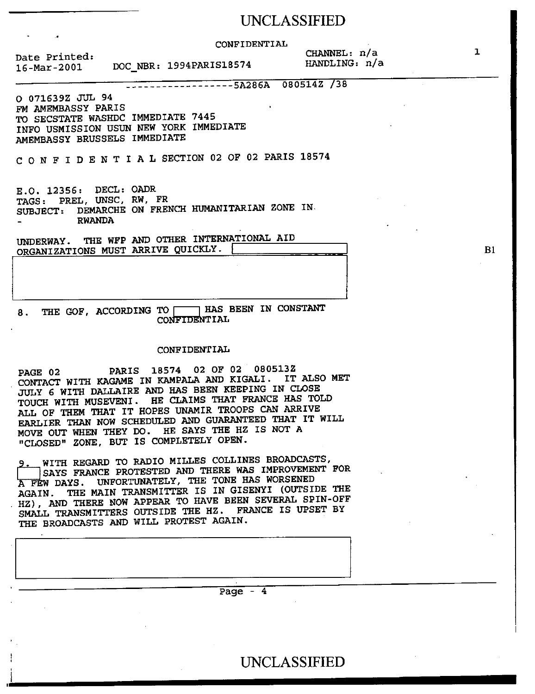### UNCLASSIFIED

CONFIDENTIAL

Date Printed: 16-Mar-2001 DOC NBR: 1994PARIS18574 CHANNEL: n/a<br>HANDLING: n/a

ARRIVE QUICKLY

5A286A 080514Z /38

0 071639Z JUL 94 FM AMEMBASSY PARIS TO SECSTATE WASHDC IMMEDIATE 7445 INFO USMISSION USUN NEW YORK IMMEDIATE AMEMBASSY BRUSSELS IMMEDIATE

C ONFIDENTIALSECTION 02 OF 02 PARIS 18574

 $E.O. 12356: DECL: OADR \$ TAGS: PREL, UNSC, RW, FR SUBJECT: DEMARCHE ON FRENCH HUMANITARIAN ZONE IN. RWANDA

UNDERWAY. THE WFP AND OTHER INTERNATIONAL AID ORGANIZATIONS MUST ARRIVE QUICKLY.

8. THE GOF, ACCORDING TO **HAS BEEN IN CONSTANT** CONFIDENTIAL

#### CONFIDENTIAL

PAGE 02 PARIS 18574 02 OF 02 080513Z CONTACT WITH KAGAME IN KAMPALA AND KIGALI. IT ALSO MET JULY 6 WITH DALLAIRE AND HAS BEEN KEEPING IN CLOSE TOUCH WITH MUSEVENI. HE CLAIMS THAT FRANCE HAS TOLD ALL OF THEM THAT IT HOPES UNAMIR TROOPS CAN ARRIVE EARLIER THAN NOW SCHEDULED AND GUARANTEED THAT IT WILL MOVE OUT WHEN THEY DO. HE SAYS THE HZ IS NOT A "CLOSED" ZONE, BUT IS COMPLETELY OPEN.

WITH REGARD TO RADIO MILLES COLLINES BROADCASTS, SAYS FRANCE PROTESTED AND THERE WAS IMPROVEMENT FOR A FEW DAYS. UNFORTUNATELY, THE TONE HAS WORSENED AGAIN. THE MAIN TRANSMITTER IS IN GISENYI (OUTSIDE THE . HZ), AND THERE NOW APPEAR TO HAVE BEEN SEVERAL SPIN-OFF SMALL TRANSMITTERS OUTSIDE THE HZ. FRANCE IS UPSET BY THE BROADCASTS AND WILL PROTEST AGAIN.

ti<br>İ

Page - 4

B1